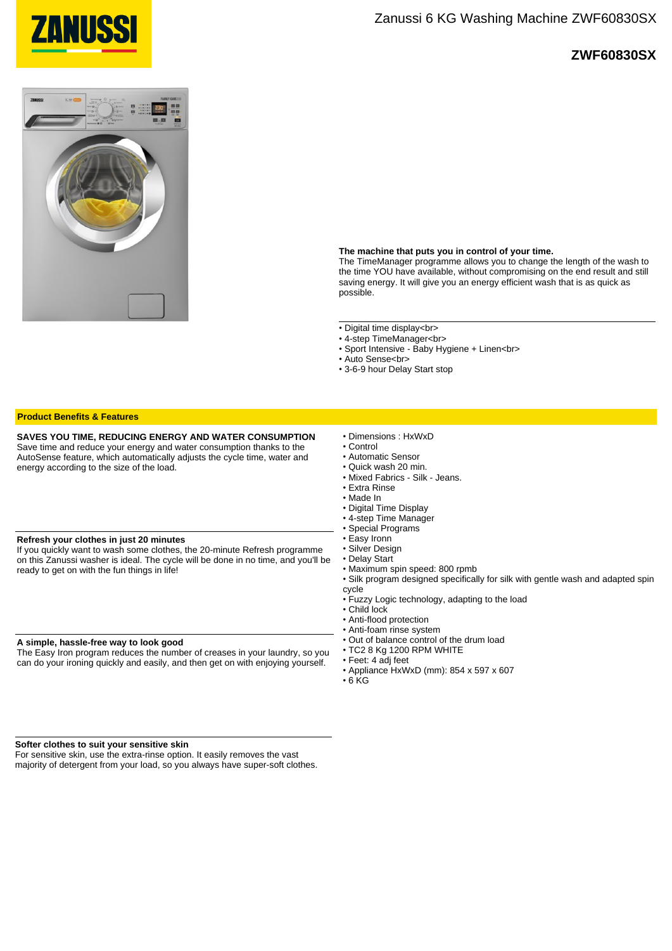

## **ZWF60830SX**



### **The machine that puts you in control of your time.**

The TimeManager programme allows you to change the length of the wash to the time YOU have available, without compromising on the end result and still saving energy. It will give you an energy efficient wash that is as quick as possible.

• Digital time display<br>

- 4-step TimeManager<br>
- Sport Intensive Baby Hygiene + Linen<br>
- Auto Sense<br>
- 3-6-9 hour Delay Start stop

| <b>Product Benefits &amp; Features</b>                                                                                                                                                                                                                    |                                                                                                                                                                                                                                                                                                                                                                                                                                                                                                                                                                                                                                                                                            |
|-----------------------------------------------------------------------------------------------------------------------------------------------------------------------------------------------------------------------------------------------------------|--------------------------------------------------------------------------------------------------------------------------------------------------------------------------------------------------------------------------------------------------------------------------------------------------------------------------------------------------------------------------------------------------------------------------------------------------------------------------------------------------------------------------------------------------------------------------------------------------------------------------------------------------------------------------------------------|
| SAVES YOU TIME, REDUCING ENERGY AND WATER CONSUMPTION<br>Save time and reduce your energy and water consumption thanks to the<br>AutoSense feature, which automatically adjusts the cycle time, water and<br>energy according to the size of the load.    | • Dimensions: HxWxD<br>• Control<br>• Automatic Sensor<br>• Quick wash 20 min.<br>• Mixed Fabrics - Silk - Jeans.<br>• Extra Rinse<br>• Made In<br>• Digital Time Display<br>• 4-step Time Manager<br>• Special Programs<br>• Easy Ironn<br>• Silver Design<br>• Delay Start<br>• Maximum spin speed: 800 rpmb<br>. Silk program designed specifically for silk with gentle wash and adapted spin<br>cycle<br>• Fuzzy Logic technology, adapting to the load<br>$\cdot$ Child lock<br>• Anti-flood protection<br>• Anti-foam rinse system<br>• Out of balance control of the drum load<br>$\cdot$ TC2 8 Kg 1200 RPM WHITE<br>• Feet: 4 adj feet<br>• Appliance HxWxD (mm): 854 x 597 x 607 |
| Refresh your clothes in just 20 minutes<br>If you quickly want to wash some clothes, the 20-minute Refresh programme<br>on this Zanussi washer is ideal. The cycle will be done in no time, and you'll be<br>ready to get on with the fun things in life! |                                                                                                                                                                                                                                                                                                                                                                                                                                                                                                                                                                                                                                                                                            |
| A simple, hassle-free way to look good<br>The Easy Iron program reduces the number of creases in your laundry, so you<br>can do your ironing quickly and easily, and then get on with enjoying yourself.                                                  |                                                                                                                                                                                                                                                                                                                                                                                                                                                                                                                                                                                                                                                                                            |

 $\cdot$  6 KG

#### **Softer clothes to suit your sensitive skin**

For sensitive skin, use the extra-rinse option. It easily removes the vast majority of detergent from your load, so you always have super-soft clothes.